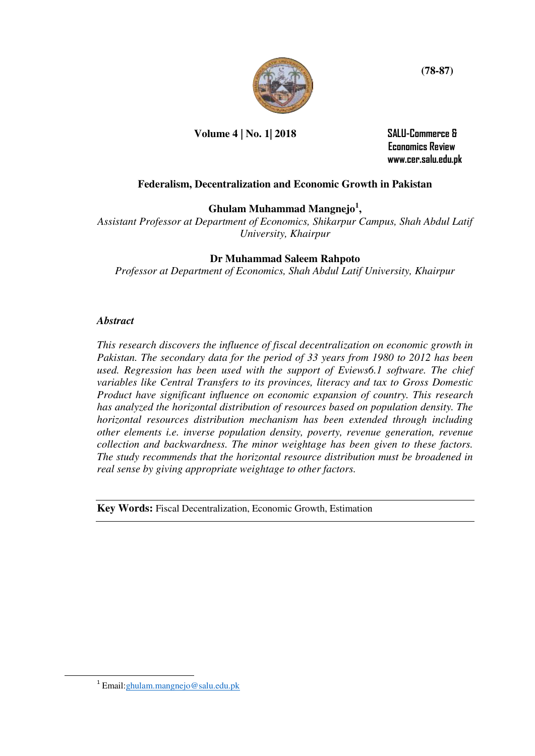

**Volume 4 | No. 1| 2018 SALU-Commerce &** 

 **Economics Review www.cer.salu.edu.pk** 

# **Federalism, Decentralization and Economic Growth in Pakistan**

**Ghulam Muhammad Mangnejo<sup>1</sup> ,**

*Assistant Professor at Department of Economics, Shikarpur Campus, Shah Abdul Latif University, Khairpur* 

# **Dr Muhammad Saleem Rahpoto**

*Professor at Department of Economics, Shah Abdul Latif University, Khairpur* 

## *Abstract*

*This research discovers the influence of fiscal decentralization on economic growth in Pakistan. The secondary data for the period of 33 years from 1980 to 2012 has been used. Regression has been used with the support of Eviews6.1 software. The chief variables like Central Transfers to its provinces, literacy and tax to Gross Domestic Product have significant influence on economic expansion of country. This research has analyzed the horizontal distribution of resources based on population density. The horizontal resources distribution mechanism has been extended through including other elements i.e. inverse population density, poverty, revenue generation, revenue collection and backwardness. The minor weightage has been given to these factors. The study recommends that the horizontal resource distribution must be broadened in real sense by giving appropriate weightage to other factors.* 

**Key Words:** Fiscal Decentralization, Economic Growth, Estimation

-

<sup>&</sup>lt;sup>1</sup> Email: ghulam.mangnejo@salu.edu.pk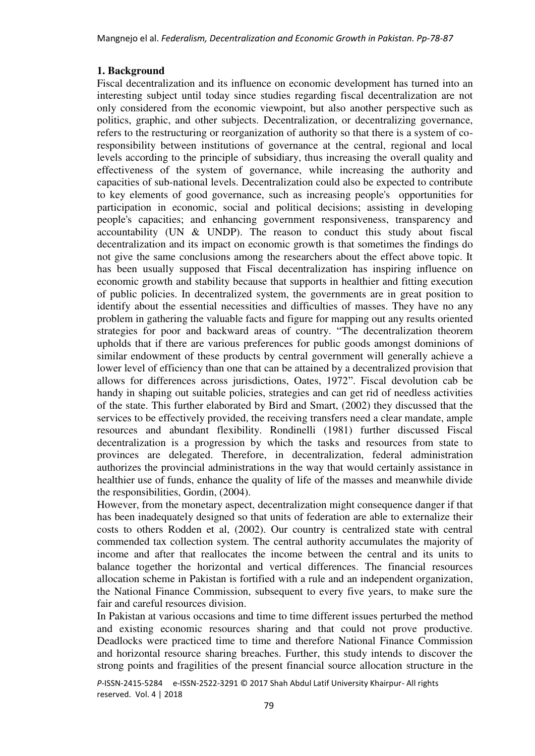### **1. Background**

Fiscal decentralization and its influence on economic development has turned into an interesting subject until today since studies regarding fiscal decentralization are not only considered from the economic viewpoint, but also another perspective such as politics, graphic, and other subjects. Decentralization, or decentralizing governance, refers to the restructuring or reorganization of authority so that there is a system of coresponsibility between institutions of governance at the central, regional and local levels according to the principle of subsidiary, thus increasing the overall quality and effectiveness of the system of governance, while increasing the authority and capacities of sub-national levels. Decentralization could also be expected to contribute to key elements of good governance, such as increasing people's opportunities for participation in economic, social and political decisions; assisting in developing people's capacities; and enhancing government responsiveness, transparency and accountability (UN & UNDP). The reason to conduct this study about fiscal decentralization and its impact on economic growth is that sometimes the findings do not give the same conclusions among the researchers about the effect above topic. It has been usually supposed that Fiscal decentralization has inspiring influence on economic growth and stability because that supports in healthier and fitting execution of public policies. In decentralized system, the governments are in great position to identify about the essential necessities and difficulties of masses. They have no any problem in gathering the valuable facts and figure for mapping out any results oriented strategies for poor and backward areas of country. "The decentralization theorem upholds that if there are various preferences for public goods amongst dominions of similar endowment of these products by central government will generally achieve a lower level of efficiency than one that can be attained by a decentralized provision that allows for differences across jurisdictions, Oates, 1972". Fiscal devolution cab be handy in shaping out suitable policies, strategies and can get rid of needless activities of the state. This further elaborated by Bird and Smart, (2002) they discussed that the services to be effectively provided, the receiving transfers need a clear mandate, ample resources and abundant flexibility. Rondinelli (1981) further discussed Fiscal decentralization is a progression by which the tasks and resources from state to provinces are delegated. Therefore, in decentralization, federal administration authorizes the provincial administrations in the way that would certainly assistance in healthier use of funds, enhance the quality of life of the masses and meanwhile divide the responsibilities, Gordin, (2004).

However, from the monetary aspect, decentralization might consequence danger if that has been inadequately designed so that units of federation are able to externalize their costs to others Rodden et al, (2002). Our country is centralized state with central commended tax collection system. The central authority accumulates the majority of income and after that reallocates the income between the central and its units to balance together the horizontal and vertical differences. The financial resources allocation scheme in Pakistan is fortified with a rule and an independent organization, the National Finance Commission, subsequent to every five years, to make sure the fair and careful resources division.

In Pakistan at various occasions and time to time different issues perturbed the method and existing economic resources sharing and that could not prove productive. Deadlocks were practiced time to time and therefore National Finance Commission and horizontal resource sharing breaches. Further, this study intends to discover the strong points and fragilities of the present financial source allocation structure in the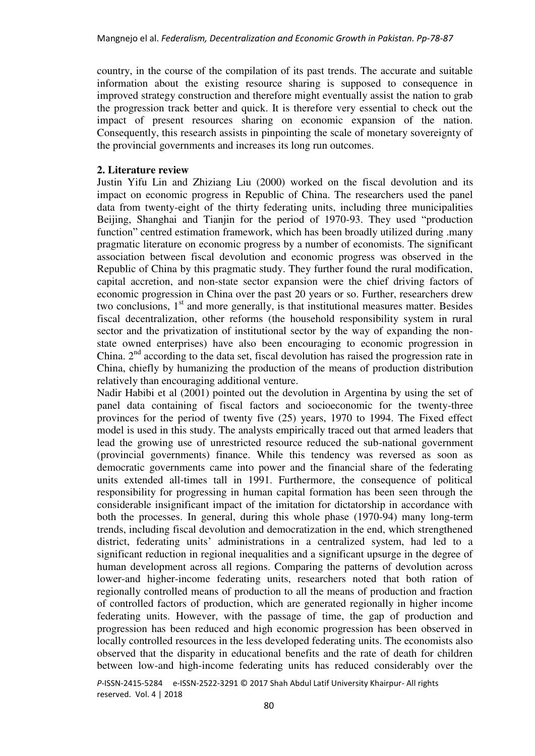country, in the course of the compilation of its past trends. The accurate and suitable information about the existing resource sharing is supposed to consequence in improved strategy construction and therefore might eventually assist the nation to grab the progression track better and quick. It is therefore very essential to check out the impact of present resources sharing on economic expansion of the nation. Consequently, this research assists in pinpointing the scale of monetary sovereignty of the provincial governments and increases its long run outcomes.

### **2. Literature review**

Justin Yifu Lin and Zhiziang Liu (2000) worked on the fiscal devolution and its impact on economic progress in Republic of China. The researchers used the panel data from twenty-eight of the thirty federating units, including three municipalities Beijing, Shanghai and Tianjin for the period of 1970-93. They used "production function" centred estimation framework, which has been broadly utilized during .many pragmatic literature on economic progress by a number of economists. The significant association between fiscal devolution and economic progress was observed in the Republic of China by this pragmatic study. They further found the rural modification, capital accretion, and non-state sector expansion were the chief driving factors of economic progression in China over the past 20 years or so. Further, researchers drew two conclusions,  $1<sup>st</sup>$  and more generally, is that institutional measures matter. Besides fiscal decentralization, other reforms (the household responsibility system in rural sector and the privatization of institutional sector by the way of expanding the nonstate owned enterprises) have also been encouraging to economic progression in China.  $2<sup>nd</sup>$  according to the data set, fiscal devolution has raised the progression rate in China, chiefly by humanizing the production of the means of production distribution relatively than encouraging additional venture.

Nadir Habibi et al (2001) pointed out the devolution in Argentina by using the set of panel data containing of fiscal factors and socioeconomic for the twenty-three provinces for the period of twenty five (25) years, 1970 to 1994. The Fixed effect model is used in this study. The analysts empirically traced out that armed leaders that lead the growing use of unrestricted resource reduced the sub-national government (provincial governments) finance. While this tendency was reversed as soon as democratic governments came into power and the financial share of the federating units extended all-times tall in 1991. Furthermore, the consequence of political responsibility for progressing in human capital formation has been seen through the considerable insignificant impact of the imitation for dictatorship in accordance with both the processes. In general, during this whole phase (1970-94) many long-term trends, including fiscal devolution and democratization in the end, which strengthened district, federating units' administrations in a centralized system, had led to a significant reduction in regional inequalities and a significant upsurge in the degree of human development across all regions. Comparing the patterns of devolution across lower-and higher-income federating units, researchers noted that both ration of regionally controlled means of production to all the means of production and fraction of controlled factors of production, which are generated regionally in higher income federating units. However, with the passage of time, the gap of production and progression has been reduced and high economic progression has been observed in locally controlled resources in the less developed federating units. The economists also observed that the disparity in educational benefits and the rate of death for children between low-and high-income federating units has reduced considerably over the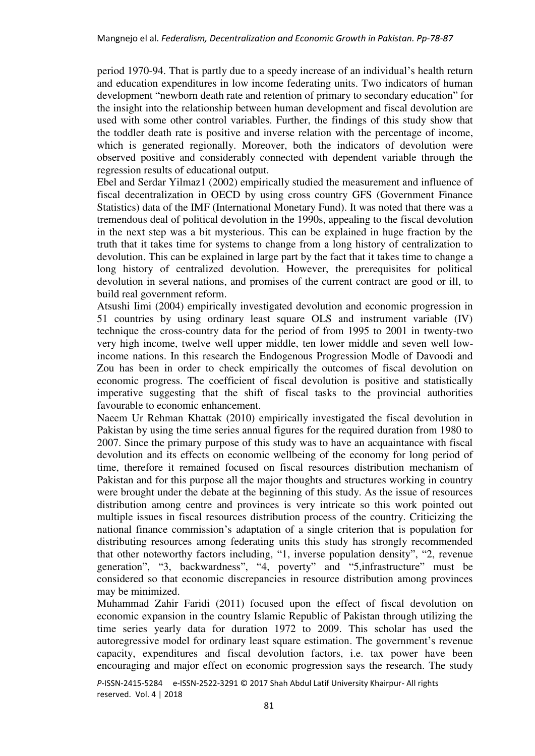period 1970-94. That is partly due to a speedy increase of an individual's health return and education expenditures in low income federating units. Two indicators of human development "newborn death rate and retention of primary to secondary education" for the insight into the relationship between human development and fiscal devolution are used with some other control variables. Further, the findings of this study show that the toddler death rate is positive and inverse relation with the percentage of income, which is generated regionally. Moreover, both the indicators of devolution were observed positive and considerably connected with dependent variable through the regression results of educational output.

Ebel and Serdar Yilmaz1 (2002) empirically studied the measurement and influence of fiscal decentralization in OECD by using cross country GFS (Government Finance Statistics) data of the IMF (International Monetary Fund). It was noted that there was a tremendous deal of political devolution in the 1990s, appealing to the fiscal devolution in the next step was a bit mysterious. This can be explained in huge fraction by the truth that it takes time for systems to change from a long history of centralization to devolution. This can be explained in large part by the fact that it takes time to change a long history of centralized devolution. However, the prerequisites for political devolution in several nations, and promises of the current contract are good or ill, to build real government reform.

Atsushi Iimi (2004) empirically investigated devolution and economic progression in 51 countries by using ordinary least square OLS and instrument variable (IV) technique the cross-country data for the period of from 1995 to 2001 in twenty-two very high income, twelve well upper middle, ten lower middle and seven well lowincome nations. In this research the Endogenous Progression Modle of Davoodi and Zou has been in order to check empirically the outcomes of fiscal devolution on economic progress. The coefficient of fiscal devolution is positive and statistically imperative suggesting that the shift of fiscal tasks to the provincial authorities favourable to economic enhancement.

Naeem Ur Rehman Khattak (2010) empirically investigated the fiscal devolution in Pakistan by using the time series annual figures for the required duration from 1980 to 2007. Since the primary purpose of this study was to have an acquaintance with fiscal devolution and its effects on economic wellbeing of the economy for long period of time, therefore it remained focused on fiscal resources distribution mechanism of Pakistan and for this purpose all the major thoughts and structures working in country were brought under the debate at the beginning of this study. As the issue of resources distribution among centre and provinces is very intricate so this work pointed out multiple issues in fiscal resources distribution process of the country. Criticizing the national finance commission's adaptation of a single criterion that is population for distributing resources among federating units this study has strongly recommended that other noteworthy factors including, "1, inverse population density", "2, revenue generation", "3, backwardness", "4, poverty" and "5,infrastructure" must be considered so that economic discrepancies in resource distribution among provinces may be minimized.

Muhammad Zahir Faridi (2011) focused upon the effect of fiscal devolution on economic expansion in the country Islamic Republic of Pakistan through utilizing the time series yearly data for duration 1972 to 2009. This scholar has used the autoregressive model for ordinary least square estimation. The government's revenue capacity, expenditures and fiscal devolution factors, i.e. tax power have been encouraging and major effect on economic progression says the research. The study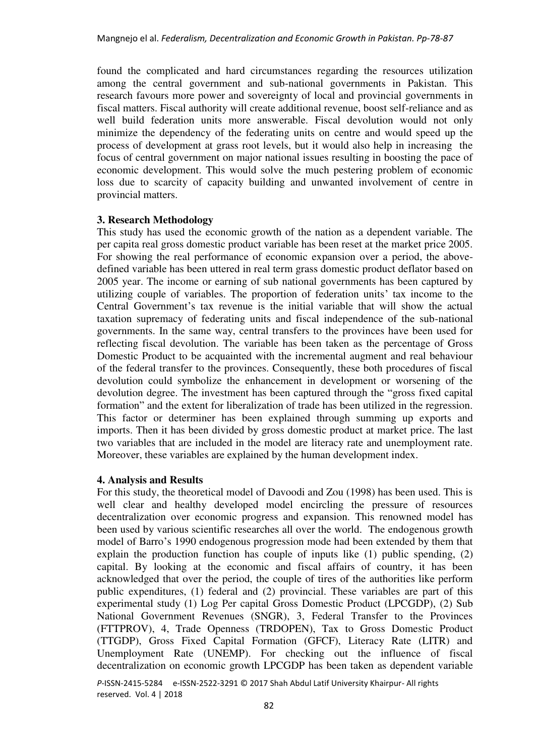found the complicated and hard circumstances regarding the resources utilization among the central government and sub-national governments in Pakistan. This research favours more power and sovereignty of local and provincial governments in fiscal matters. Fiscal authority will create additional revenue, boost self-reliance and as well build federation units more answerable. Fiscal devolution would not only minimize the dependency of the federating units on centre and would speed up the process of development at grass root levels, but it would also help in increasing the focus of central government on major national issues resulting in boosting the pace of economic development. This would solve the much pestering problem of economic loss due to scarcity of capacity building and unwanted involvement of centre in provincial matters.

### **3. Research Methodology**

This study has used the economic growth of the nation as a dependent variable. The per capita real gross domestic product variable has been reset at the market price 2005. For showing the real performance of economic expansion over a period, the abovedefined variable has been uttered in real term grass domestic product deflator based on 2005 year. The income or earning of sub national governments has been captured by utilizing couple of variables. The proportion of federation units' tax income to the Central Government's tax revenue is the initial variable that will show the actual taxation supremacy of federating units and fiscal independence of the sub-national governments. In the same way, central transfers to the provinces have been used for reflecting fiscal devolution. The variable has been taken as the percentage of Gross Domestic Product to be acquainted with the incremental augment and real behaviour of the federal transfer to the provinces. Consequently, these both procedures of fiscal devolution could symbolize the enhancement in development or worsening of the devolution degree. The investment has been captured through the "gross fixed capital formation" and the extent for liberalization of trade has been utilized in the regression. This factor or determiner has been explained through summing up exports and imports. Then it has been divided by gross domestic product at market price. The last two variables that are included in the model are literacy rate and unemployment rate. Moreover, these variables are explained by the human development index.

### **4. Analysis and Results**

For this study, the theoretical model of Davoodi and Zou (1998) has been used. This is well clear and healthy developed model encircling the pressure of resources decentralization over economic progress and expansion. This renowned model has been used by various scientific researches all over the world. The endogenous growth model of Barro's 1990 endogenous progression mode had been extended by them that explain the production function has couple of inputs like (1) public spending, (2) capital. By looking at the economic and fiscal affairs of country, it has been acknowledged that over the period, the couple of tires of the authorities like perform public expenditures, (1) federal and (2) provincial. These variables are part of this experimental study (1) Log Per capital Gross Domestic Product (LPCGDP), (2) Sub National Government Revenues (SNGR), 3, Federal Transfer to the Provinces (FTTPROV), 4, Trade Openness (TRDOPEN), Tax to Gross Domestic Product (TTGDP), Gross Fixed Capital Formation (GFCF), Literacy Rate (LITR) and Unemployment Rate (UNEMP). For checking out the influence of fiscal decentralization on economic growth LPCGDP has been taken as dependent variable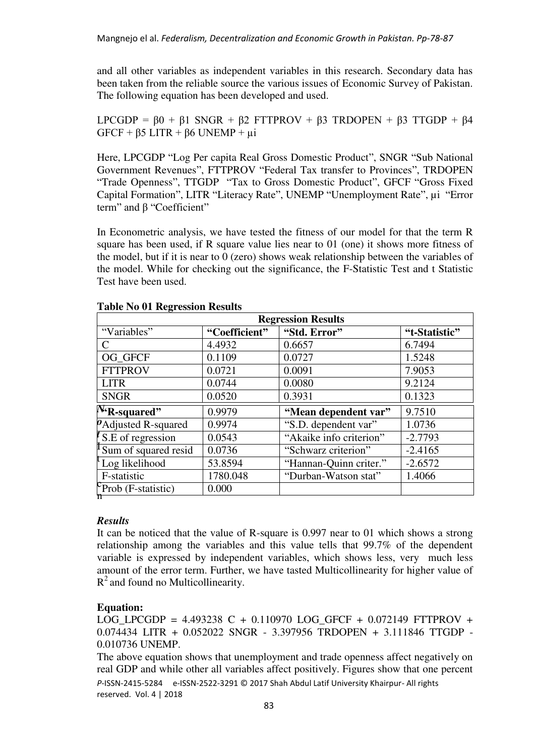and all other variables as independent variables in this research. Secondary data has been taken from the reliable source the various issues of Economic Survey of Pakistan. The following equation has been developed and used.

LPCGDP =  $\beta$ 0 +  $\beta$ 1 SNGR +  $\beta$ 2 FTTPROV +  $\beta$ 3 TRDOPEN +  $\beta$ 3 TTGDP +  $\beta$ 4  $GFCF + \beta 5 LITR + \beta 6 UNEMP + \mu i$ 

Here, LPCGDP "Log Per capita Real Gross Domestic Product", SNGR "Sub National Government Revenues", FTTPROV "Federal Tax transfer to Provinces", TRDOPEN "Trade Openness", TTGDP "Tax to Gross Domestic Product", GFCF "Gross Fixed Capital Formation", LITR "Literacy Rate", UNEMP "Unemployment Rate", µi "Error term" and β "Coefficient"

In Econometric analysis, we have tested the fitness of our model for that the term R square has been used, if R square value lies near to 01 (one) it shows more fitness of the model, but if it is near to 0 (zero) shows weak relationship between the variables of the model. While for checking out the significance, the F-Statistic Test and t Statistic Test have been used.

| <b>Regression Results</b>      |               |                         |               |  |  |  |
|--------------------------------|---------------|-------------------------|---------------|--|--|--|
| "Variables"                    | "Coefficient" | "Std. Error"            | "t-Statistic" |  |  |  |
| C                              | 4.4932        | 0.6657                  | 6.7494        |  |  |  |
| OG GFCF                        | 0.1109        | 0.0727                  | 1.5248        |  |  |  |
| <b>FTTPROV</b>                 | 0.0721        | 0.0091                  | 7.9053        |  |  |  |
| <b>LITR</b>                    | 0.0744        | 0.0080                  | 9.2124        |  |  |  |
| <b>SNGR</b>                    | 0.0520        | 0.3931                  | 0.1323        |  |  |  |
| $N_{\text{R-squared}}$         | 0.9979        | "Mean dependent var"    | 9.7510        |  |  |  |
| <i>P</i> Adjusted R-squared    | 0.9974        | "S.D. dependent var"    | 1.0736        |  |  |  |
| $\mathbf{K}$ S.E of regression | 0.0543        | "Akaike info criterion" | $-2.7793$     |  |  |  |
| Sum of squared resid           | 0.0736        | "Schwarz criterion"     | $-2.4165$     |  |  |  |
| Log likelihood                 | 53.8594       | "Hannan-Quinn criter."  | $-2.6572$     |  |  |  |
| F-statistic                    | 1780.048      | "Durban-Watson stat"    | 1.4066        |  |  |  |
| Prob (F-statistic)<br>'n       | 0.000         |                         |               |  |  |  |

#### **Table No 01 Regression Results**

### *Results*

It can be noticed that the value of R-square is 0.997 near to 01 which shows a strong relationship among the variables and this value tells that 99.7% of the dependent variable is expressed by independent variables, which shows less, very much less amount of the error term. Further, we have tasted Multicollinearity for higher value of  $R<sup>2</sup>$  and found no Multicollinearity.

# **Equation:**

LOG LPCGDP =  $4.493238$  C + 0.110970 LOG GFCF + 0.072149 FTTPROV + 0.074434 LITR + 0.052022 SNGR - 3.397956 TRDOPEN + 3.111846 TTGDP - 0.010736 UNEMP.

*P*-ISSN-2415-5284 e-ISSN-2522-3291 © 2017 Shah Abdul Latif University Khairpur- All rights reserved. Vol. 4 | 2018 The above equation shows that unemployment and trade openness affect negatively on real GDP and while other all variables affect positively. Figures show that one percent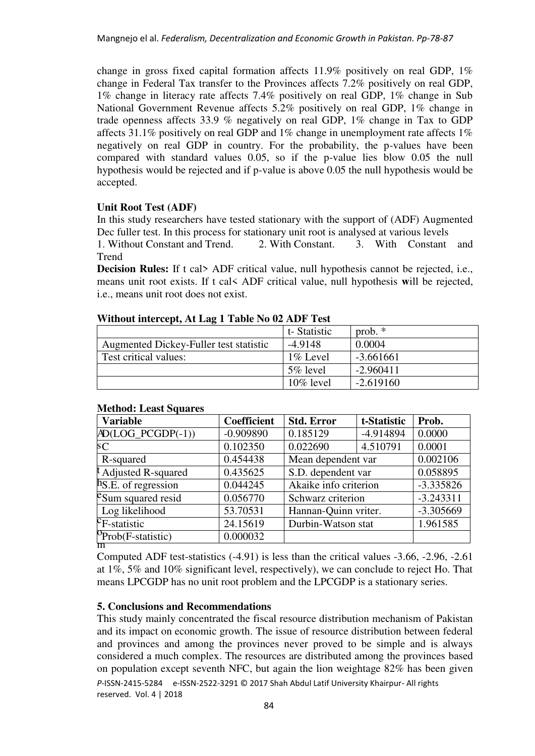change in gross fixed capital formation affects 11.9% positively on real GDP, 1% change in Federal Tax transfer to the Provinces affects 7.2% positively on real GDP, 1% change in literacy rate affects 7.4% positively on real GDP, 1% change in Sub National Government Revenue affects 5.2% positively on real GDP, 1% change in trade openness affects 33.9 % negatively on real GDP, 1% change in Tax to GDP affects 31.1% positively on real GDP and 1% change in unemployment rate affects 1% negatively on real GDP in country. For the probability, the p-values have been compared with standard values 0.05, so if the p-value lies blow 0.05 the null hypothesis would be rejected and if p-value is above 0.05 the null hypothesis would be accepted.

## **Unit Root Test (ADF)**

In this study researchers have tested stationary with the support of (ADF) Augmented Dec fuller test. In this process for stationary unit root is analysed at various levels

1. Without Constant and Trend. 2. With Constant. 3. With Constant and Trend

**Decision Rules:** If t cal> ADF critical value, null hypothesis cannot be rejected, i.e., means unit root exists. If t cal< ADF critical value, null hypothesis **w**ill be rejected, i.e., means unit root does not exist.

| $\alpha$ and $\alpha$ intercept, $\alpha$ in Eq. 1. The state that $\alpha$ is a set of $\alpha$ |              |             |  |  |  |
|--------------------------------------------------------------------------------------------------|--------------|-------------|--|--|--|
|                                                                                                  | t-Statistic  | prob. $*$   |  |  |  |
| Augmented Dickey-Fuller test statistic                                                           | $-4.9148$    | 0.0004      |  |  |  |
| Test critical values:                                                                            | 1% Level     | $-3.661661$ |  |  |  |
|                                                                                                  | $5\%$ level  | $-2.960411$ |  |  |  |
|                                                                                                  | $10\%$ level | $-2.619160$ |  |  |  |

## Without intercent, At Lag 1 Table No 02 ADF Test

| <b>Variable</b>                       | <b>Coefficient</b> | <b>Std. Error</b>     | t-Statistic | Prob.       |
|---------------------------------------|--------------------|-----------------------|-------------|-------------|
| $AD(LOG_PCGDP(-1))$                   | $-0.909890$        | 0.185129              | -4.914894   | 0.0000      |
| sC                                    | 0.102350           | 0.022690              | 4.510791    | 0.0001      |
| R-squared                             | 0.454438           | Mean dependent var    |             | 0.002106    |
| t Adjusted R-squared                  | 0.435625           | S.D. dependent var    |             | 0.058895    |
| $\ln S.E.$ of regression              | 0.044245           | Akaike info criterion |             | $-3.335826$ |
| e Sum squared resid                   | 0.056770           | Schwarz criterion     |             | $-3.243311$ |
| Log likelihood                        | 53.70531           | Hannan-Quinn vriter.  |             | -3.305669   |
| $\overline{c_{\text{F-statistic}}}$   | 24.15619           | Durbin-Watson stat    |             | 1.961585    |
| $P_{\text{Prob}}(F\text{-statistic})$ | 0.000032           |                       |             |             |

#### **Method: Least Squares**

Computed ADF test-statistics (-4.91) is less than the critical values -3.66, -2.96, -2.61 at 1%, 5% and 10% significant level, respectively), we can conclude to reject Ho. That means LPCGDP has no unit root problem and the LPCGDP is a stationary series.

### **5. Conclusions and Recommendations**

*P*-ISSN-2415-5284 e-ISSN-2522-3291 © 2017 Shah Abdul Latif University Khairpur- All rights reserved. Vol. 4 | 2018 This study mainly concentrated the fiscal resource distribution mechanism of Pakistan and its impact on economic growth. The issue of resource distribution between federal and provinces and among the provinces never proved to be simple and is always considered a much complex. The resources are distributed among the provinces based on population except seventh NFC, but again the lion weightage 82% has been given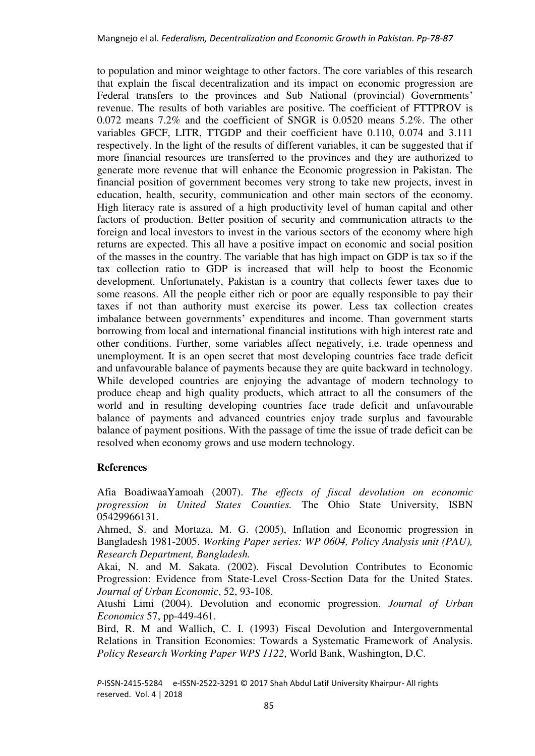to population and minor weightage to other factors. The core variables of this research that explain the fiscal decentralization and its impact on economic progression are Federal transfers to the provinces and Sub National (provincial) Governments' revenue. The results of both variables are positive. The coefficient of FTTPROV is 0.072 means 7.2% and the coefficient of SNGR is 0.0520 means 5.2%. The other variables GFCF, LITR, TTGDP and their coefficient have 0.110, 0.074 and 3.111 respectively. In the light of the results of different variables, it can be suggested that if more financial resources are transferred to the provinces and they are authorized to generate more revenue that will enhance the Economic progression in Pakistan. The financial position of government becomes very strong to take new projects, invest in education, health, security, communication and other main sectors of the economy. High literacy rate is assured of a high productivity level of human capital and other factors of production. Better position of security and communication attracts to the foreign and local investors to invest in the various sectors of the economy where high returns are expected. This all have a positive impact on economic and social position of the masses in the country. The variable that has high impact on GDP is tax so if the tax collection ratio to GDP is increased that will help to boost the Economic development. Unfortunately, Pakistan is a country that collects fewer taxes due to some reasons. All the people either rich or poor are equally responsible to pay their taxes if not than authority must exercise its power. Less tax collection creates imbalance between governments' expenditures and income. Than government starts borrowing from local and international financial institutions with high interest rate and other conditions. Further, some variables affect negatively, i.e. trade openness and unemployment. It is an open secret that most developing countries face trade deficit and unfavourable balance of payments because they are quite backward in technology. While developed countries are enjoying the advantage of modern technology to produce cheap and high quality products, which attract to all the consumers of the world and in resulting developing countries face trade deficit and unfavourable balance of payments and advanced countries enjoy trade surplus and favourable balance of payment positions. With the passage of time the issue of trade deficit can be resolved when economy grows and use modern technology.

# **References**

Afia BoadiwaaYamoah (2007). *The effects of fiscal devolution on economic progression in United States Counties.* The Ohio State University, ISBN 05429966131.

Ahmed, S. and Mortaza, M. G. (2005), Inflation and Economic progression in Bangladesh 1981-2005. *Working Paper series: WP 0604, Policy Analysis unit (PAU), Research Department, Bangladesh.*

Akai, N. and M. Sakata. (2002). Fiscal Devolution Contributes to Economic Progression: Evidence from State-Level Cross-Section Data for the United States. *Journal of Urban Economic*, 52, 93-108.

Atushi Limi (2004). Devolution and economic progression. *Journal of Urban Economics* 57, pp-449-461.

Bird, R. M and Wallich, C. I. (1993) Fiscal Devolution and Intergovernmental Relations in Transition Economies: Towards a Systematic Framework of Analysis. *Policy Research Working Paper WPS 1122*, World Bank, Washington, D.C.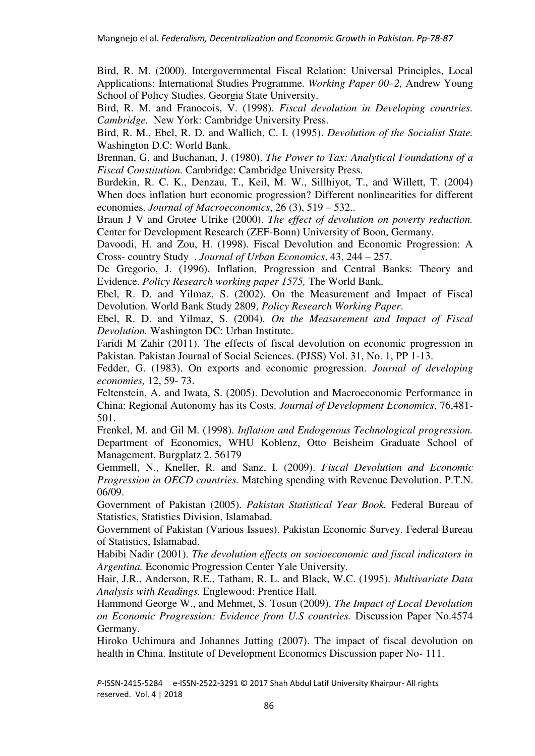Bird, R. M. (2000). Intergovernmental Fiscal Relation: Universal Principles, Local Applications: International Studies Programme. *Working Paper 00–2,* Andrew Young School of Policy Studies, Georgia State University.

Bird, R. M. and Franocois, V. (1998). *Fiscal devolution in Developing countries. Cambridge.* New York: Cambridge University Press.

Bird, R. M., Ebel, R. D. and Wallich, C. I. (1995). *Devolution of the Socialist State.* Washington D.C: World Bank.

Brennan, G. and Buchanan, J. (1980). *The Power to Tax: Analytical Foundations of a Fiscal Constitution.* Cambridge: Cambridge University Press.

Burdekin, R. C. K., Denzau, T., Keil, M. W., Sillhiyot, T., and Willett, T. (2004) When does inflation hurt economic progression? Different nonlinearities for different economies. *Journal of Macroeconomics*, 26 (3), 519 – 532..

Braun J V and Grotee Ulrike (2000). *The effect of devolution on poverty reduction.* Center for Development Research (ZEF-Bonn) University of Boon, Germany.

Davoodi, H. and Zou, H. (1998). Fiscal Devolution and Economic Progression: A Cross- country Study . *Journal of Urban Economics*, 43, 244 – 257.

De Gregorio, J. (1996). Inflation, Progression and Central Banks: Theory and Evidence. *Policy Research working paper 1575,* The World Bank.

Ebel, R. D. and Yilmaz, S. (2002). On the Measurement and Impact of Fiscal Devolution. World Bank Study 2809, *Policy Research Working Paper*.

Ebel, R. D. and Yilmaz, S. (2004). *On the Measurement and Impact of Fiscal Devolution.* Washington DC: Urban Institute.

Faridi M Zahir (2011). The effects of fiscal devolution on economic progression in Pakistan. Pakistan Journal of Social Sciences. (PJSS) Vol. 31, No. 1, PP 1-13.

Fedder, G. (1983). On exports and economic progression. *Journal of developing economies,* 12, 59- 73.

Feltenstein, A. and Iwata, S. (2005). Devolution and Macroeconomic Performance in China: Regional Autonomy has its Costs. *Journal of Development Economics*, 76,481- 501.

Frenkel, M. and Gil M. (1998). *Inflation and Endogenous Technological progression.* Department of Economics, WHU Koblenz, Otto Beisheim Graduate School of Management, Burgplatz 2, 56179

Gemmell, N., Kneller, R. and Sanz, I. (2009). *Fiscal Devolution and Economic Progression in OECD countries.* Matching spending with Revenue Devolution. P.T.N. 06/09.

Government of Pakistan (2005). *Pakistan Statistical Year Book.* Federal Bureau of Statistics, Statistics Division, Islamabad.

Government of Pakistan (Various Issues). Pakistan Economic Survey. Federal Bureau of Statistics, Islamabad.

Habibi Nadir (2001). *The devolution effects on socioeconomic and fiscal indicators in Argentina.* Economic Progression Center Yale University.

Hair, J.R., Anderson, R.E., Tatham, R. L. and Black, W.C. (1995). *Multivariate Data Analysis with Readings.* Englewood: Prentice Hall.

Hammond George W., and Mehmet, S. Tosun (2009). *The Impact of Local Devolution on Economic Progression: Evidence from U.S countries.* Discussion Paper No.4574 Germany.

Hiroko Uchimura and Johannes Jutting (2007). The impact of fiscal devolution on health in China. Institute of Development Economics Discussion paper No- 111.